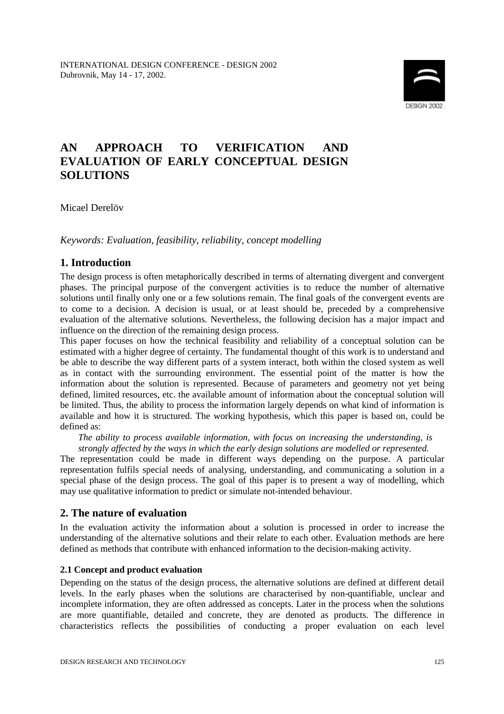

# **AN APPROACH TO VERIFICATION AND EVALUATION OF EARLY CONCEPTUAL DESIGN SOLUTIONS**

Micael Derelöv

*Keywords: Evaluation, feasibility, reliability, concept modelling*

# **1. Introduction**

The design process is often metaphorically described in terms of alternating divergent and convergent phases. The principal purpose of the convergent activities is to reduce the number of alternative solutions until finally only one or a few solutions remain. The final goals of the convergent events are to come to a decision. A decision is usual, or at least should be, preceded by a comprehensive evaluation of the alternative solutions. Nevertheless, the following decision has a major impact and influence on the direction of the remaining design process.

This paper focuses on how the technical feasibility and reliability of a conceptual solution can be estimated with a higher degree of certainty. The fundamental thought of this work is to understand and be able to describe the way different parts of a system interact, both within the closed system as well as in contact with the surrounding environment. The essential point of the matter is how the information about the solution is represented. Because of parameters and geometry not yet being defined, limited resources, etc. the available amount of information about the conceptual solution will be limited. Thus, the ability to process the information largely depends on what kind of information is available and how it is structured. The working hypothesis, which this paper is based on, could be defined as:

*The ability to process available information, with focus on increasing the understanding, is strongly affected by the ways in which the early design solutions are modelled or represented.* 

The representation could be made in different ways depending on the purpose. A particular representation fulfils special needs of analysing, understanding, and communicating a solution in a special phase of the design process. The goal of this paper is to present a way of modelling, which may use qualitative information to predict or simulate not-intended behaviour.

### **2. The nature of evaluation**

In the evaluation activity the information about a solution is processed in order to increase the understanding of the alternative solutions and their relate to each other. Evaluation methods are here defined as methods that contribute with enhanced information to the decision-making activity.

#### **2.1 Concept and product evaluation**

Depending on the status of the design process, the alternative solutions are defined at different detail levels. In the early phases when the solutions are characterised by non-quantifiable, unclear and incomplete information, they are often addressed as concepts. Later in the process when the solutions are more quantifiable, detailed and concrete, they are denoted as products. The difference in characteristics reflects the possibilities of conducting a proper evaluation on each level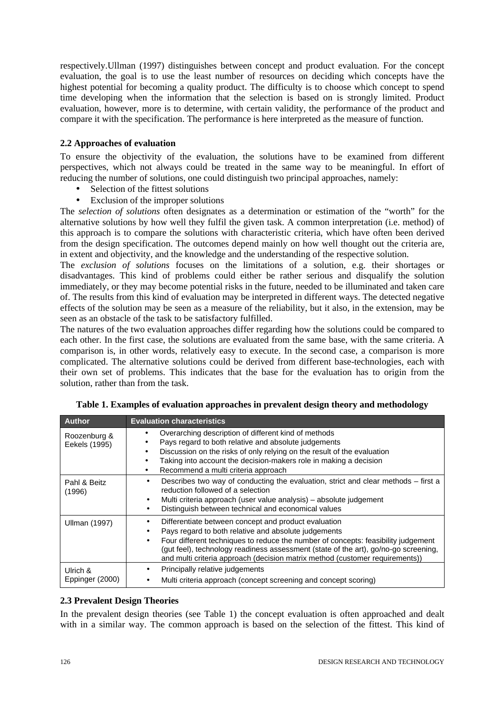respectively.Ullman (1997) distinguishes between concept and product evaluation. For the concept evaluation, the goal is to use the least number of resources on deciding which concepts have the highest potential for becoming a quality product. The difficulty is to choose which concept to spend time developing when the information that the selection is based on is strongly limited. Product evaluation, however, more is to determine, with certain validity, the performance of the product and compare it with the specification. The performance is here interpreted as the measure of function.

### **2.2 Approaches of evaluation**

To ensure the objectivity of the evaluation, the solutions have to be examined from different perspectives, which not always could be treated in the same way to be meaningful. In effort of reducing the number of solutions, one could distinguish two principal approaches, namely:

- Selection of the fittest solutions
- Exclusion of the improper solutions

The *selection of solutions* often designates as a determination or estimation of the "worth" for the alternative solutions by how well they fulfil the given task. A common interpretation (i.e. method) of this approach is to compare the solutions with characteristic criteria, which have often been derived from the design specification. The outcomes depend mainly on how well thought out the criteria are, in extent and objectivity, and the knowledge and the understanding of the respective solution.

The *exclusion of solutions* focuses on the limitations of a solution, e.g. their shortages or disadvantages. This kind of problems could either be rather serious and disqualify the solution immediately, or they may become potential risks in the future, needed to be illuminated and taken care of. The results from this kind of evaluation may be interpreted in different ways. The detected negative effects of the solution may be seen as a measure of the reliability, but it also, in the extension, may be seen as an obstacle of the task to be satisfactory fulfilled.

The natures of the two evaluation approaches differ regarding how the solutions could be compared to each other. In the first case, the solutions are evaluated from the same base, with the same criteria. A comparison is, in other words, relatively easy to execute. In the second case, a comparison is more complicated. The alternative solutions could be derived from different base-technologies, each with their own set of problems. This indicates that the base for the evaluation has to origin from the solution, rather than from the task.

| <b>Author</b>                 | <b>Evaluation characteristics</b>                                                                                                                                                                                                                                                                                                                                        |  |  |  |  |
|-------------------------------|--------------------------------------------------------------------------------------------------------------------------------------------------------------------------------------------------------------------------------------------------------------------------------------------------------------------------------------------------------------------------|--|--|--|--|
| Roozenburg &<br>Eekels (1995) | Overarching description of different kind of methods<br>Pays regard to both relative and absolute judgements<br>Discussion on the risks of only relying on the result of the evaluation<br>٠<br>Taking into account the decision-makers role in making a decision<br>Recommend a multi criteria approach<br>٠                                                            |  |  |  |  |
| Pahl & Beitz<br>(1996)        | Describes two way of conducting the evaluation, strict and clear methods - first a<br>reduction followed of a selection<br>Multi criteria approach (user value analysis) - absolute judgement<br>Distinguish between technical and economical values                                                                                                                     |  |  |  |  |
| <b>Ullman (1997)</b>          | Differentiate between concept and product evaluation<br>Pays regard to both relative and absolute judgements<br>Four different techniques to reduce the number of concepts: feasibility judgement<br>(gut feel), technology readiness assessment (state of the art), go/no-go screening,<br>and multi criteria approach (decision matrix method (customer requirements)) |  |  |  |  |
| Ulrich &<br>Eppinger (2000)   | Principally relative judgements<br>٠<br>Multi criteria approach (concept screening and concept scoring)                                                                                                                                                                                                                                                                  |  |  |  |  |

|  | Table 1. Examples of evaluation approaches in prevalent design theory and methodology |  |  |
|--|---------------------------------------------------------------------------------------|--|--|
|  |                                                                                       |  |  |
|  |                                                                                       |  |  |

#### **2.3 Prevalent Design Theories**

In the prevalent design theories (see Table 1) the concept evaluation is often approached and dealt with in a similar way. The common approach is based on the selection of the fittest. This kind of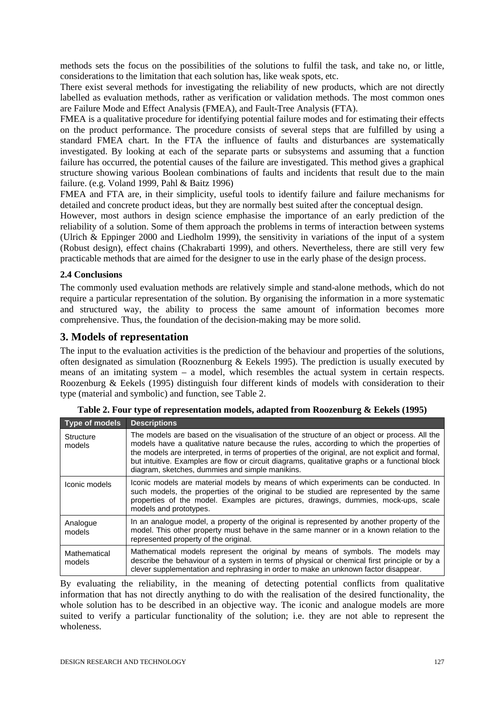methods sets the focus on the possibilities of the solutions to fulfil the task, and take no, or little, considerations to the limitation that each solution has, like weak spots, etc.

There exist several methods for investigating the reliability of new products, which are not directly labelled as evaluation methods, rather as verification or validation methods. The most common ones are Failure Mode and Effect Analysis (FMEA), and Fault-Tree Analysis (FTA).

FMEA is a qualitative procedure for identifying potential failure modes and for estimating their effects on the product performance. The procedure consists of several steps that are fulfilled by using a standard FMEA chart. In the FTA the influence of faults and disturbances are systematically investigated. By looking at each of the separate parts or subsystems and assuming that a function failure has occurred, the potential causes of the failure are investigated. This method gives a graphical structure showing various Boolean combinations of faults and incidents that result due to the main failure. (e.g. Voland 1999, Pahl & Baitz 1996)

FMEA and FTA are, in their simplicity, useful tools to identify failure and failure mechanisms for detailed and concrete product ideas, but they are normally best suited after the conceptual design.

However, most authors in design science emphasise the importance of an early prediction of the reliability of a solution. Some of them approach the problems in terms of interaction between systems (Ulrich & Eppinger 2000 and Liedholm 1999), the sensitivity in variations of the input of a system (Robust design), effect chains (Chakrabarti 1999), and others. Nevertheless, there are still very few practicable methods that are aimed for the designer to use in the early phase of the design process.

### **2.4 Conclusions**

The commonly used evaluation methods are relatively simple and stand-alone methods, which do not require a particular representation of the solution. By organising the information in a more systematic and structured way, the ability to process the same amount of information becomes more comprehensive. Thus, the foundation of the decision-making may be more solid.

### **3. Models of representation**

The input to the evaluation activities is the prediction of the behaviour and properties of the solutions, often designated as simulation (Rooznenburg & Eekels 1995). The prediction is usually executed by means of an imitating system – a model, which resembles the actual system in certain respects. Roozenburg & Eekels (1995) distinguish four different kinds of models with consideration to their type (material and symbolic) and function, see Table 2.

| <b>Type of models</b>      | <b>Descriptions</b>                                                                                                                                                                                                                                                                                                                                                                                                                              |
|----------------------------|--------------------------------------------------------------------------------------------------------------------------------------------------------------------------------------------------------------------------------------------------------------------------------------------------------------------------------------------------------------------------------------------------------------------------------------------------|
| <b>Structure</b><br>models | The models are based on the visualisation of the structure of an object or process. All the<br>models have a qualitative nature because the rules, according to which the properties of<br>the models are interpreted, in terms of properties of the original, are not explicit and formal,<br>but intuitive. Examples are flow or circuit diagrams, qualitative graphs or a functional block<br>diagram, sketches, dummies and simple manikins. |
| Iconic models              | Iconic models are material models by means of which experiments can be conducted. In<br>such models, the properties of the original to be studied are represented by the same<br>properties of the model. Examples are pictures, drawings, dummies, mock-ups, scale<br>models and prototypes.                                                                                                                                                    |
| Analogue<br>models         | In an analogue model, a property of the original is represented by another property of the<br>model. This other property must behave in the same manner or in a known relation to the<br>represented property of the original.                                                                                                                                                                                                                   |
| Mathematical<br>models     | Mathematical models represent the original by means of symbols. The models may<br>describe the behaviour of a system in terms of physical or chemical first principle or by a<br>clever supplementation and rephrasing in order to make an unknown factor disappear.                                                                                                                                                                             |

|  |  |  | Table 2. Four type of representation models, adapted from Roozenburg & Eekels (1995) |  |
|--|--|--|--------------------------------------------------------------------------------------|--|
|  |  |  |                                                                                      |  |

By evaluating the reliability, in the meaning of detecting potential conflicts from qualitative information that has not directly anything to do with the realisation of the desired functionality, the whole solution has to be described in an objective way. The iconic and analogue models are more suited to verify a particular functionality of the solution; i.e. they are not able to represent the wholeness.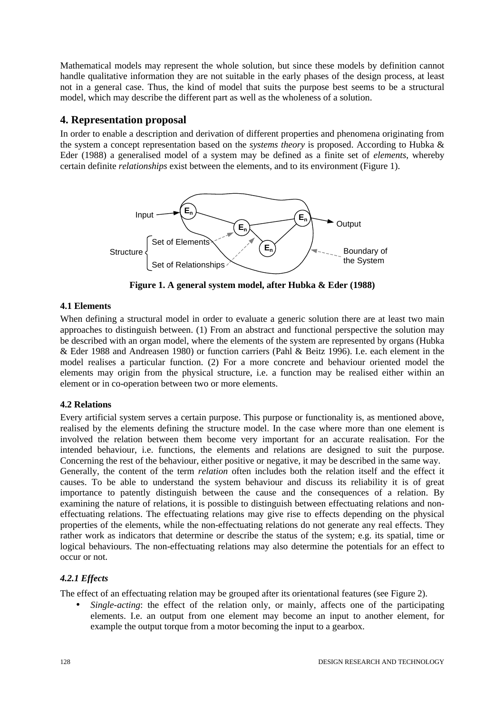Mathematical models may represent the whole solution, but since these models by definition cannot handle qualitative information they are not suitable in the early phases of the design process, at least not in a general case. Thus, the kind of model that suits the purpose best seems to be a structural model, which may describe the different part as well as the wholeness of a solution.

# **4. Representation proposal**

In order to enable a description and derivation of different properties and phenomena originating from the system a concept representation based on the *systems theory* is proposed. According to Hubka & Eder (1988) a generalised model of a system may be defined as a finite set of *elements*, whereby certain definite *relationships* exist between the elements, and to its environment (Figure 1).



**Figure 1. A general system model, after Hubka & Eder (1988)**

## **4.1 Elements**

When defining a structural model in order to evaluate a generic solution there are at least two main approaches to distinguish between. (1) From an abstract and functional perspective the solution may be described with an organ model, where the elements of the system are represented by organs (Hubka & Eder 1988 and Andreasen 1980) or function carriers (Pahl & Beitz 1996). I.e. each element in the model realises a particular function. (2) For a more concrete and behaviour oriented model the elements may origin from the physical structure, i.e. a function may be realised either within an element or in co-operation between two or more elements.

# **4.2 Relations**

Every artificial system serves a certain purpose. This purpose or functionality is, as mentioned above, realised by the elements defining the structure model. In the case where more than one element is involved the relation between them become very important for an accurate realisation. For the intended behaviour, i.e. functions, the elements and relations are designed to suit the purpose. Concerning the rest of the behaviour, either positive or negative, it may be described in the same way. Generally, the content of the term *relation* often includes both the relation itself and the effect it causes. To be able to understand the system behaviour and discuss its reliability it is of great importance to patently distinguish between the cause and the consequences of a relation. By examining the nature of relations, it is possible to distinguish between effectuating relations and noneffectuating relations. The effectuating relations may give rise to effects depending on the physical properties of the elements, while the non-effectuating relations do not generate any real effects. They rather work as indicators that determine or describe the status of the system; e.g. its spatial, time or logical behaviours. The non-effectuating relations may also determine the potentials for an effect to occur or not.

# *4.2.1 Effects*

The effect of an effectuating relation may be grouped after its orientational features (see Figure 2).

• *Single-acting*: the effect of the relation only, or mainly, affects one of the participating elements. I.e. an output from one element may become an input to another element, for example the output torque from a motor becoming the input to a gearbox.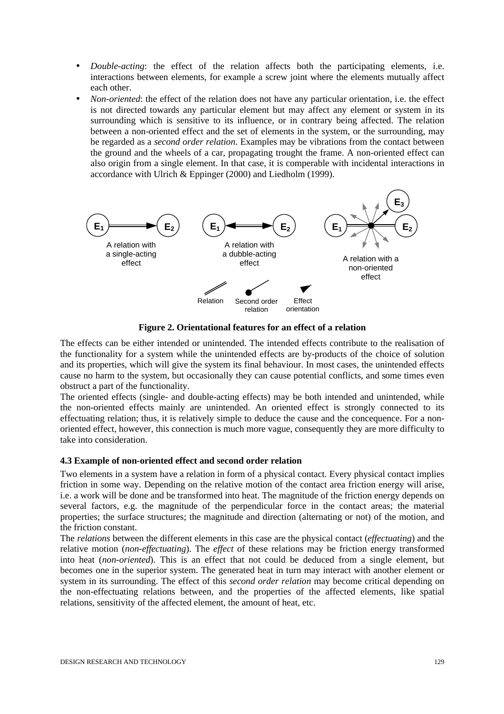- *Double-acting*: the effect of the relation affects both the participating elements, i.e. interactions between elements, for example a screw joint where the elements mutually affect each other.
- *Non-oriented*: the effect of the relation does not have any particular orientation, i.e. the effect is not directed towards any particular element but may affect any element or system in its surrounding which is sensitive to its influence, or in contrary being affected. The relation between a non-oriented effect and the set of elements in the system, or the surrounding, may be regarded as a *second order relation*. Examples may be vibrations from the contact between the ground and the wheels of a car, propagating trought the frame. A non-oriented effect can also origin from a single element. In that case, it is comperable with incidental interactions in accordance with Ulrich & Eppinger (2000) and Liedholm (1999).



**Figure 2. Orientational features for an effect of a relation**

The effects can be either intended or unintended. The intended effects contribute to the realisation of the functionality for a system while the unintended effects are by-products of the choice of solution and its properties, which will give the system its final behaviour. In most cases, the unintended effects cause no harm to the system, but occasionally they can cause potential conflicts, and some times even obstruct a part of the functionality.

The oriented effects (single- and double-acting effects) may be both intended and unintended, while the non-oriented effects mainly are unintended. An oriented effect is strongly connected to its effectuating relation; thus, it is relatively simple to deduce the cause and the concequence. For a nonoriented effect, however, this connection is much more vague, consequently they are more difficulty to take into consideration.

#### **4.3 Example of non-oriented effect and second order relation**

Two elements in a system have a relation in form of a physical contact. Every physical contact implies friction in some way. Depending on the relative motion of the contact area friction energy will arise, i.e. a work will be done and be transformed into heat. The magnitude of the friction energy depends on several factors, e.g. the magnitude of the perpendicular force in the contact areas; the material properties; the surface structures; the magnitude and direction (alternating or not) of the motion, and the friction constant.

The *relations* between the different elements in this case are the physical contact (*effectuating*) and the relative motion (*non-effectuating*). The *effect* of these relations may be friction energy transformed into heat (*non-oriented*). This is an effect that not could be deduced from a single element, but becomes one in the superior system. The generated heat in turn may interact with another element or system in its surrounding. The effect of this *second order relation* may become critical depending on the non-effectuating relations between, and the properties of the affected elements, like spatial relations, sensitivity of the affected element, the amount of heat, etc.